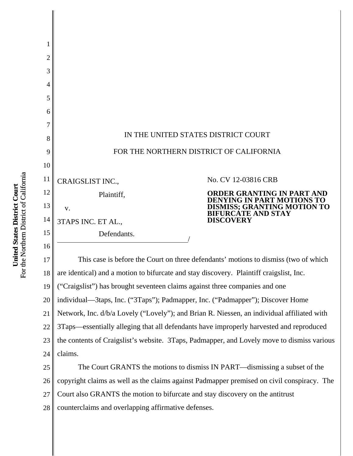

27 Court also GRANTS the motion to bifurcate and stay discovery on the antitrust

28 counterclaims and overlapping affirmative defenses.

For the Northern District of California For the Northern District of California United States District Court **United States District Court**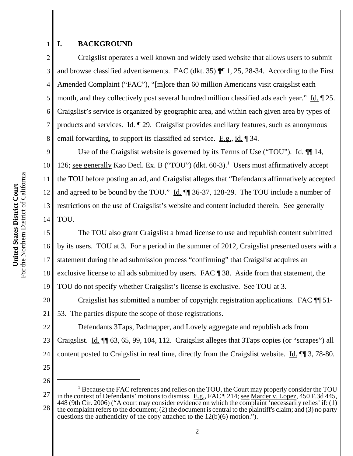## **I. BACKGROUND**

1

2

3

5

7

4 6 8 Craigslist operates a well known and widely used website that allows users to submit and browse classified advertisements. FAC (dkt. 35) ¶¶ 1, 25, 28-34. According to the First Amended Complaint ("FAC"), "[m]ore than 60 million Americans visit craigslist each month, and they collectively post several hundred million classified ads each year." Id. ¶ 25. Craigslist's service is organized by geographic area, and within each given area by types of products and services.  $\underline{Id}$ .  $\P$  29. Craigslist provides ancillary features, such as anonymous email forwarding, to support its classified ad service. E.g., id. 134.

9 10 11 12 13 14 Use of the Craigslist website is governed by its Terms of Use ("TOU"). Id.  $\P$  14, 126; see generally Kao Decl. Ex. B ("TOU") (dkt. 60-3).<sup>1</sup> Users must affirmatively accept the TOU before posting an ad, and Craigslist alleges that "Defendants affirmatively accepted and agreed to be bound by the TOU." Id.  $\P$  36-37, 128-29. The TOU include a number of restrictions on the use of Craigslist's website and content included therein. See generally TOU.

15 16 17 18 19 The TOU also grant Craigslist a broad license to use and republish content submitted by its users. TOU at 3. For a period in the summer of 2012, Craigslist presented users with a statement during the ad submission process "confirming" that Craigslist acquires an exclusive license to all ads submitted by users. FAC ¶ 38. Aside from that statement, the TOU do not specify whether Craigslist's license is exclusive. See TOU at 3.

20 21 Craigslist has submitted a number of copyright registration applications. FAC ¶¶ 51- 53. The parties dispute the scope of those registrations.

22 23 24 Defendants 3Taps, Padmapper, and Lovely aggregate and republish ads from Craigslist. Id. ¶¶ 63, 65, 99, 104, 112. Craigslist alleges that 3Taps copies (or "scrapes") all content posted to Craigslist in real time, directly from the Craigslist website. Id. ¶¶ 3, 78-80.

25

26

<sup>27</sup> 28 <sup>1</sup> Because the FAC references and relies on the TOU, the Court may properly consider the TOU in the context of Defendants' motions to dismiss. E.g., FAC ¶ 214; see Marder v. Lopez, 450 F.3d 445, 448 (9th Cir. 2006) ("A court may consider evidence on which the complaint 'necessarily relies' if: (1) the complaint refers to the document; (2) the document is central to the plaintiff's claim; and (3) no party questions the authenticity of the copy attached to the 12(b)(6) motion.").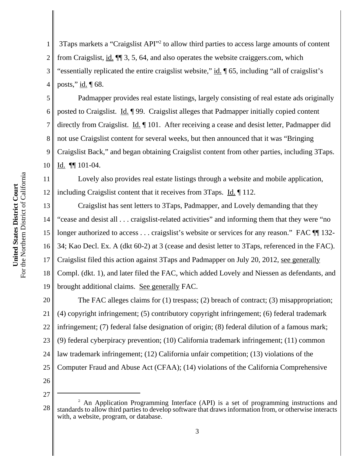1 2 3 4 3Taps markets a "Craigslist API"<sup>2</sup> to allow third parties to access large amounts of content from Craigslist, id. ¶¶ 3, 5, 64, and also operates the website craiggers.com, which "essentially replicated the entire craigslist website," id.  $\parallel$  65, including "all of craigslist's posts,"  $\underline{\text{id}}$ .  $\P$  68.

5 6 7 8 9 10 Padmapper provides real estate listings, largely consisting of real estate ads originally posted to Craigslist. Id. ¶ 99. Craigslist alleges that Padmapper initially copied content directly from Craigslist. Id. 101. After receiving a cease and desist letter, Padmapper did not use Craigslist content for several weeks, but then announced that it was "Bringing Craigslist Back," and began obtaining Craigslist content from other parties, including 3Taps. Id. ¶¶ 101-04.

11 12 Lovely also provides real estate listings through a website and mobile application, including Craigslist content that it receives from 3Taps. Id. 112.

13 14 15 16 17 18 19 Craigslist has sent letters to 3Taps, Padmapper, and Lovely demanding that they "cease and desist all . . . craigslist-related activities" and informing them that they were "no longer authorized to access . . . craigslist's website or services for any reason." FAC  $\P$  132-34; Kao Decl. Ex. A (dkt 60-2) at 3 (cease and desist letter to 3Taps, referenced in the FAC). Craigslist filed this action against 3Taps and Padmapper on July 20, 2012, see generally Compl. (dkt. 1), and later filed the FAC, which added Lovely and Niessen as defendants, and brought additional claims. See generally FAC.

20 21 22 23 24 25 26 The FAC alleges claims for (1) trespass; (2) breach of contract; (3) misappropriation; (4) copyright infringement; (5) contributory copyright infringement; (6) federal trademark infringement; (7) federal false designation of origin; (8) federal dilution of a famous mark; (9) federal cyberpiracy prevention; (10) California trademark infringement; (11) common law trademark infringement; (12) California unfair competition; (13) violations of the Computer Fraud and Abuse Act (CFAA); (14) violations of the California Comprehensive

<sup>28</sup> <sup>2</sup> An Application Programming Interface (API) is a set of programming instructions and standards to allow third parties to develop software that draws information from, or otherwise interacts with, a website, program, or database.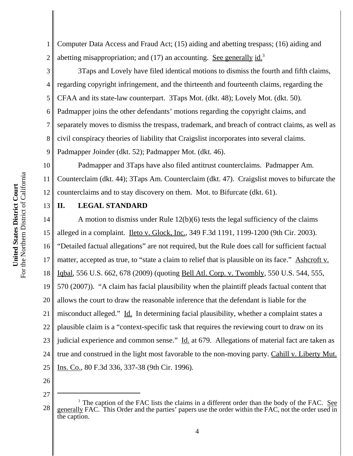13

1 2 Computer Data Access and Fraud Act; (15) aiding and abetting trespass; (16) aiding and abetting misappropriation; and  $(17)$  an accounting. See generally id.<sup>3</sup>

3 4 5 6 7 8 9 3Taps and Lovely have filed identical motions to dismiss the fourth and fifth claims, regarding copyright infringement, and the thirteenth and fourteenth claims, regarding the CFAA and its state-law counterpart. 3Taps Mot. (dkt. 48); Lovely Mot. (dkt. 50). Padmapper joins the other defendants' motions regarding the copyright claims, and separately moves to dismiss the trespass, trademark, and breach of contract claims, as well as civil conspiracy theories of liability that Craigslist incorporates into several claims. Padmapper Joinder (dkt. 52); Padmapper Mot. (dkt. 46).

10 11 12 Padmapper and 3Taps have also filed antitrust counterclaims. Padmapper Am. Counterclaim (dkt. 44); 3Taps Am. Counterclaim (dkt. 47). Craigslist moves to bifurcate the counterclaims and to stay discovery on them. Mot. to Bifurcate (dkt. 61).

# **II. LEGAL STANDARD**

14 15 16 17 18 19 20 21 22 23 24 25 A motion to dismiss under Rule 12(b)(6) tests the legal sufficiency of the claims alleged in a complaint. Ileto v. Glock, Inc., 349 F.3d 1191, 1199-1200 (9th Cir. 2003). "Detailed factual allegations" are not required, but the Rule does call for sufficient factual matter, accepted as true, to "state a claim to relief that is plausible on its face." Ashcroft v. Iqbal, 556 U.S. 662, 678 (2009) (quoting Bell Atl. Corp. v. Twombly, 550 U.S. 544, 555, 570 (2007)). "A claim has facial plausibility when the plaintiff pleads factual content that allows the court to draw the reasonable inference that the defendant is liable for the misconduct alleged." Id. In determining facial plausibility, whether a complaint states a plausible claim is a "context-specific task that requires the reviewing court to draw on its judicial experience and common sense." Id. at 679. Allegations of material fact are taken as true and construed in the light most favorable to the non-moving party. Cahill v. Liberty Mut. Ins. Co., 80 F.3d 336, 337-38 (9th Cir. 1996).

- 26
- 27

<sup>28</sup> <sup>3</sup> The caption of the FAC lists the claims in a different order than the body of the FAC. See generally FAC. This Order and the parties' papers use the order within the FAC, not the order used in the caption.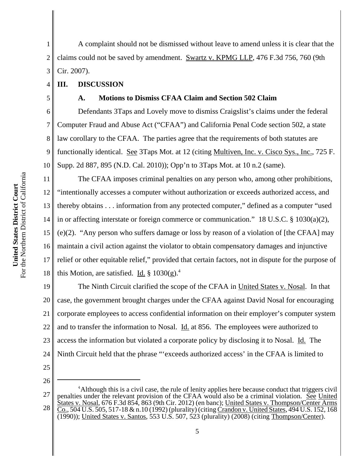1 2 3 A complaint should not be dismissed without leave to amend unless it is clear that the claims could not be saved by amendment. Swartz v. KPMG LLP, 476 F.3d 756, 760 (9th Cir. 2007).

# **III. DISCUSSION**

4

5

7

## **A. Motions to Dismiss CFAA Claim and Section 502 Claim**

6 8 9 10 Defendants 3Taps and Lovely move to dismiss Craigslist's claims under the federal Computer Fraud and Abuse Act ("CFAA") and California Penal Code section 502, a state law corollary to the CFAA. The parties agree that the requirements of both statutes are functionally identical. See 3Taps Mot. at 12 (citing Multiven, Inc. v. Cisco Sys., Inc., 725 F. Supp. 2d 887, 895 (N.D. Cal. 2010)); Opp'n to 3Taps Mot. at 10 n.2 (same).

11 12 13 14 15 16 17 18 The CFAA imposes criminal penalties on any person who, among other prohibitions, "intentionally accesses a computer without authorization or exceeds authorized access, and thereby obtains . . . information from any protected computer," defined as a computer "used in or affecting interstate or foreign commerce or communication." 18 U.S.C. § 1030(a)(2), (e)(2). "Any person who suffers damage or loss by reason of a violation of [the CFAA] may maintain a civil action against the violator to obtain compensatory damages and injunctive relief or other equitable relief," provided that certain factors, not in dispute for the purpose of this Motion, are satisfied. Id.  $\S 1030(g)^4$ .

19 20 21 22 23 24 The Ninth Circuit clarified the scope of the CFAA in United States v. Nosal. In that case, the government brought charges under the CFAA against David Nosal for encouraging corporate employees to access confidential information on their employer's computer system and to transfer the information to Nosal. **Id.** at 856. The employees were authorized to access the information but violated a corporate policy by disclosing it to Nosal. Id. The Ninth Circuit held that the phrase "'exceeds authorized access' in the CFAA is limited to

25

<sup>27</sup> 28 <sup>4</sup> Although this is a civil case, the rule of lenity applies here because conduct that triggers civil penalties under the relevant provision of the CFAA would also be a criminal violation. See United States v. Nosal, 676 F.3d 854, 863 (9th Cir. 2012) (en banc); United States v. Thompson/Center Arms Co., 504 U.S. 505, 517-18 & n.10 (1992) (plurality) (citing Crandon v. United States, 494 U.S. 152, 168 (1990)); United States v. Santos, 553 U.S. 507, 523 (plurality) (2008) (citing Thompson/Center).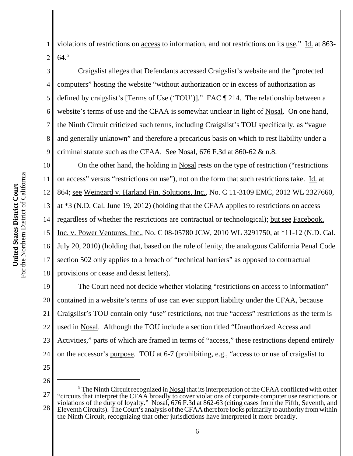For the Northern District of California For the Northern District of California United States District Court **United States District Court**

5

7

1 2 violations of restrictions on access to information, and not restrictions on its use." Id. at 863- 64.5

3 4 6 8 9 Craigslist alleges that Defendants accessed Craigslist's website and the "protected computers" hosting the website "without authorization or in excess of authorization as defined by craigslist's [Terms of Use ('TOU')]." FAC ¶ 214. The relationship between a website's terms of use and the CFAA is somewhat unclear in light of Nosal. On one hand, the Ninth Circuit criticized such terms, including Craigslist's TOU specifically, as "vague and generally unknown" and therefore a precarious basis on which to rest liability under a criminal statute such as the CFAA. See Nosal,  $676$  F.3d at  $860-62$  & n.8.

10 11 12 13 14 15 16 17 18 On the other hand, the holding in Nosal rests on the type of restriction ("restrictions on access" versus "restrictions on use"), not on the form that such restrictions take. Id. at 864; see Weingard v. Harland Fin. Solutions, Inc., No. C 11-3109 EMC, 2012 WL 2327660, at \*3 (N.D. Cal. June 19, 2012) (holding that the CFAA applies to restrictions on access regardless of whether the restrictions are contractual or technological); but see Facebook, Inc. v. Power Ventures, Inc., No. C 08-05780 JCW, 2010 WL 3291750, at \*11-12 (N.D. Cal. July 20, 2010) (holding that, based on the rule of lenity, the analogous California Penal Code section 502 only applies to a breach of "technical barriers" as opposed to contractual provisions or cease and desist letters).

19 20 21 22 23 24 The Court need not decide whether violating "restrictions on access to information" contained in a website's terms of use can ever support liability under the CFAA, because Craigslist's TOU contain only "use" restrictions, not true "access" restrictions as the term is used in Nosal. Although the TOU include a section titled "Unauthorized Access and Activities," parts of which are framed in terms of "access," these restrictions depend entirely on the accessor's purpose. TOU at 6-7 (prohibiting, e.g., "access to or use of craigslist to

- 25
- 26

<sup>27</sup> 28 <sup>5</sup> The Ninth Circuit recognized in Nosal that its interpretation of the CFAA conflicted with other "circuits that interpret the CFAA broadly to cover violations of corporate computer use restrictions or violations of the duty of loyalty." Nosal, 676 F.3d at 862-63 (citing cases from the Fifth, Seventh, and Eleventh Circuits). The Court's analysis of the CFAA therefore looks primarily to authority from within the Ninth Circuit, recognizing that other jurisdictions have interpreted it more broadly.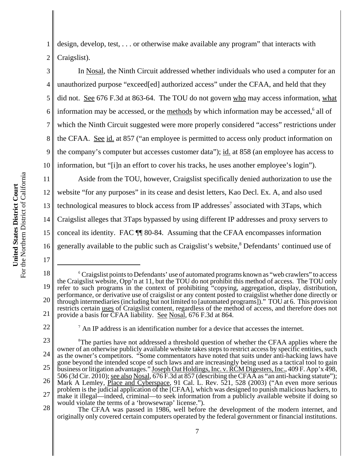1 2 design, develop, test, . . . or otherwise make available any program" that interacts with Craigslist).

3 4 5 6 7 8 9 10 In Nosal, the Ninth Circuit addressed whether individuals who used a computer for an unauthorized purpose "exceed[ed] authorized access" under the CFAA, and held that they did not. See 676 F.3d at 863-64. The TOU do not govern who may access information, what information may be accessed, or the methods by which information may be accessed,<sup>6</sup> all of which the Ninth Circuit suggested were more properly considered "access" restrictions under the CFAA. See id. at 857 ("an employee is permitted to access only product information on the company's computer but accesses customer data"); id. at 858 (an employee has access to information, but "[i]n an effort to cover his tracks, he uses another employee's login").

11 12 13 14 15 16 Aside from the TOU, however, Craigslist specifically denied authorization to use the website "for any purposes" in its cease and desist letters, Kao Decl. Ex. A, and also used technological measures to block access from IP addresses<sup>7</sup> associated with 3Taps, which Craigslist alleges that 3Taps bypassed by using different IP addresses and proxy servers to conceal its identity. FAC ¶¶ 80-84. Assuming that the CFAA encompasses information generally available to the public such as Craigslist's website,<sup>8</sup> Defendants' continued use of

<sup>18</sup> 19 20 21 <sup>6</sup> Craigslist points to Defendants' use of automated programs known as "web crawlers" to access the Craigslist website, Opp'n at 11, but the TOU do not prohibit this method of access. The TOU only refer to such programs in the context of prohibiting "copying, aggregation, display, distribution, performance, or derivative use of craigslist or any content posted to craigslist whether done directly or through intermediaries (including but not limited to [automated programs])." TOU at 6. This provision restricts certain uses of Craigslist content, regardless of the method of access, and therefore does not provide a basis for CFAA liability. See Nosal, 676 F.3d at 864.

<sup>22</sup>

<sup>7</sup> An IP address is an identification number for a device that accesses the internet.

<sup>23</sup> 24 25 26 27 28 <sup>8</sup>The parties have not addressed a threshold question of whether the CFAA applies where the owner of an otherwise publicly available website takes steps to restrict access by specific entities, such as the owner's competitors. "Some commentators have noted that suits under anti-hacking laws have gone beyond the intended scope of such laws and are increasingly being used as a tactical tool to gain business or litigation advantages." Joseph Oat Holdings, Inc. v. RCM Digesters, Inc., 409 F. App'x 498, 506 (3d Cir. 2010); see also Nosal, 676 F.3d at 857 (describing the CFAA as "an anti-hacking statute"); Mark A Lemley, Place and Cyberspace, 91 Cal. L. Rev. 521, 528 (2003) ("An even more serious problem is the judicial application of the [CFAA], which was designed to punish malicious hackers, to make it illegal—indeed, criminal—to seek information from a publicly available website if doing so would violate the terms of a 'browsewrap' license.").

The CFAA was passed in 1986, well before the development of the modern internet, and originally only covered certain computers operated by the federal government or financial institutions.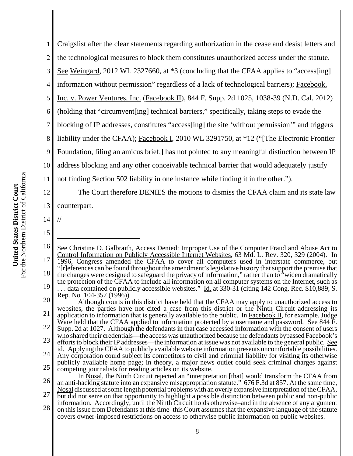1 2 3 4 5 6 7 8 9 10 11 12 13 14 15 16 17 18 19 20 21 22 23 See Christine D. Galbraith, Access Denied: Improper Use of the Computer Fraud and Abuse Act to Control Information on Publicly Accessible Internet Websites, 63 Md. L. Rev. 320, 329 (2004). In 1996, Congress amended the CFAA to cover all computers used in interstate commerce, but "[r]eferences can be found throughout the amendment's legislative history that support the premise that the changes were designed to safeguard the privacy of information," rather than to "widen dramatically the protection of the CFAA to include all information on all computer systems on the Internet, such as  $\ldots$  data contained on publicly accessible websites." Id. at 330-31 (citing 142 Cong. Rec. S10,889; S. Rep. No. 104-357 (1996)). Although courts in this district have held that the CFAA may apply to unauthorized access to websites, the parties have not cited a case from this district or the Ninth Circuit addressing its application to information that is generally available to the public. In Facebook II, for example, Judge Ware held that the CFAA applied to information protected by a username and password. See 844 F. Supp. 2d at 1027. Although the defendants in that case accessed information with the consent of users who shared their credentials—the access was unauthorized because the defendants bypassed Facebook's efforts to block their IP addresses—the information at issue was not available to the general public. See Craigslist after the clear statements regarding authorization in the cease and desist letters and the technological measures to block them constitutes unauthorized access under the statute. See Weingard, 2012 WL 2327660, at  $*3$  (concluding that the CFAA applies to "access[ing] information without permission" regardless of a lack of technological barriers); Facebook, Inc. v. Power Ventures, Inc. (Facebook II), 844 F. Supp. 2d 1025, 1038-39 (N.D. Cal. 2012) (holding that "circumvent[ing] technical barriers," specifically, taking steps to evade the blocking of IP addresses, constitutes "access[ing] the site 'without permission'" and triggers liability under the CFAA); Facebook I, 2010 WL 3291750, at \*12 ("[The Electronic Frontier Foundation, filing an amicus brief,] has not pointed to any meaningful distinction between IP address blocking and any other conceivable technical barrier that would adequately justify not finding Section 502 liability in one instance while finding it in the other."). The Court therefore DENIES the motions to dismiss the CFAA claim and its state law counterpart. //

24 25 id. Applying the CFAA to publicly available website information presents uncomfortable possibilities. Any corporation could subject its competitors to civil and criminal liability for visiting its otherwise publicly available home page; in theory, a major news outlet could seek criminal charges against competing journalists for reading articles on its website.

26 27 In Nosal, the Ninth Circuit rejected an "interpretation [that] would transform the CFAA from an anti-hacking statute into an expansive misappropriation statute." 676 F.3d at 857. At the same time, Nosal discussed at some length potential problems with an overly expansive interpretation of the CFAA, but did not seize on that opportunity to highlight a possible distinction between public and non-public

28 information. Accordingly, until the Ninth Circuit holds otherwise–and in the absence of any argument on this issue from Defendants at this time–this Court assumes that the expansive language of the statute covers owner-imposed restrictions on access to otherwise public information on public websites.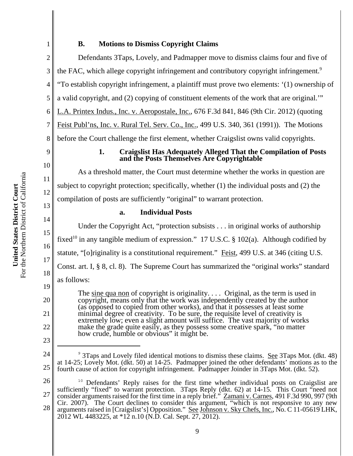# For the Northern District of California For the Northern District of California United States District Court **United States District Court**

# **B. Motions to Dismiss Copyright Claims**

Defendants 3Taps, Lovely, and Padmapper move to dismiss claims four and five of the FAC, which allege copyright infringement and contributory copyright infringement.<sup>9</sup> "To establish copyright infringement, a plaintiff must prove two elements: '(1) ownership of a valid copyright, and (2) copying of constituent elements of the work that are original.'" L.A. Printex Indus., Inc. v. Aeropostale, Inc., 676 F.3d 841, 846 (9th Cir. 2012) (quoting Feist Publ'ns, Inc. v. Rural Tel. Serv. Co., Inc., 499 U.S. 340, 361 (1991)). The Motions

8 before the Court challenge the first element, whether Craigslist owns valid copyrights.

# 9

10

11

12

13

14

15

16

17

18

19

20

21

22

23

1

2

3

4

5

6

7

## **1. Craigslist Has Adequately Alleged That the Compilation of Posts and the Posts Themselves Are Copyrightable**

As a threshold matter, the Court must determine whether the works in question are subject to copyright protection; specifically, whether  $(1)$  the individual posts and  $(2)$  the compilation of posts are sufficiently "original" to warrant protection.

## **a. Individual Posts**

Under the Copyright Act, "protection subsists . . . in original works of authorship fixed<sup>10</sup> in any tangible medium of expression." 17 U.S.C. § 102(a). Although codified by statute, "[o]riginality is a constitutional requirement." Feist, 499 U.S. at 346 (citing U.S. Const. art. I, § 8, cl. 8). The Supreme Court has summarized the "original works" standard as follows: The sine qua non of copyright is originality. . . . Original, as the term is used in

copyright, means only that the work was independently created by the author (as opposed to copied from other works), and that it possesses at least some minimal degree of creativity. To be sure, the requisite level of creativity is extremely low; even a slight amount will suffice. The vast majority of works make the grade quite easily, as they possess some creative spark, "no matter" how crude, humble or obvious" it might be.

24 25 <sup>9</sup> 3Taps and Lovely filed identical motions to dismiss these claims. See 3Taps Mot. (dkt. 48) at 14-25; Lovely Mot. (dkt. 50) at 14-25. Padmapper joined the other defendants' motions as to the fourth cause of action for copyright infringement. Padmapper Joinder in 3Taps Mot. (dkt. 52).

26 27 28 <sup>10</sup> Defendants' Reply raises for the first time whether individual posts on Craigslist are sufficiently "fixed" to warrant protection. 3Taps Reply (dkt. 62) at 14-15. This Court "need not consider arguments raised for the first time in a reply brief." Zamani v. Carnes, 491 F.3d 990, 997 (9th Cir. 2007). The Court declines to consider this argument, "which is not responsive to any new arguments raised in [Craigslist's] Opposition." See Johnson v. Sky Chefs, Inc., No. C 11-05619 LHK, 2012 WL 4483225, at \*12 n.10 (N.D. Cal. Sept. 27, 2012).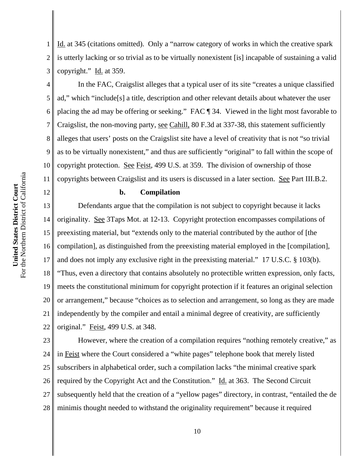For the Northern District of California For the Northern District of California United States District Court **United States District Court**

12

1 2 3 Id. at 345 (citations omitted). Only a "narrow category of works in which the creative spark is utterly lacking or so trivial as to be virtually nonexistent [is] incapable of sustaining a valid copyright." Id. at 359.

4 5 6 7 8 9 10 11 In the FAC, Craigslist alleges that a typical user of its site "creates a unique classified ad," which "include[s] a title, description and other relevant details about whatever the user placing the ad may be offering or seeking." FAC ¶ 34. Viewed in the light most favorable to Craigslist, the non-moving party, see Cahill, 80 F.3d at 337-38, this statement sufficiently alleges that users' posts on the Craigslist site have a level of creativity that is not "so trivial as to be virtually nonexistent," and thus are sufficiently "original" to fall within the scope of copyright protection. See Feist, 499 U.S. at 359. The division of ownership of those copyrights between Craigslist and its users is discussed in a later section. See Part III.B.2.

#### **b. Compilation**

13 14 15 16 17 18 19 20 21 22 Defendants argue that the compilation is not subject to copyright because it lacks originality. See 3Taps Mot. at 12-13. Copyright protection encompasses compilations of preexisting material, but "extends only to the material contributed by the author of [the compilation], as distinguished from the preexisting material employed in the [compilation], and does not imply any exclusive right in the preexisting material." 17 U.S.C. § 103(b). "Thus, even a directory that contains absolutely no protectible written expression, only facts, meets the constitutional minimum for copyright protection if it features an original selection or arrangement," because "choices as to selection and arrangement, so long as they are made independently by the compiler and entail a minimal degree of creativity, are sufficiently original." Feist, 499 U.S. at 348.

23 24 25 26 27 28 However, where the creation of a compilation requires "nothing remotely creative," as in Feist where the Court considered a "white pages" telephone book that merely listed subscribers in alphabetical order, such a compilation lacks "the minimal creative spark required by the Copyright Act and the Constitution." Id. at 363. The Second Circuit subsequently held that the creation of a "yellow pages" directory, in contrast, "entailed the de minimis thought needed to withstand the originality requirement" because it required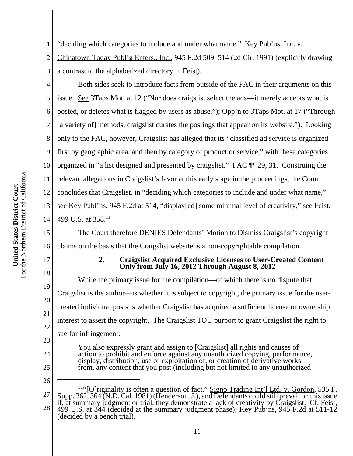2 3 Chinatown Today Publ'g Enters., Inc., 945 F.2d 509, 514 (2d Cir. 1991) (explicitly drawing a contrast to the alphabetized directory in Feist).

4

5

6

7

8

9

10

11

12

13

14

1

Both sides seek to introduce facts from outside of the FAC in their arguments on this issue. See 3Taps Mot. at 12 ("Nor does craigslist select the ads—it merely accepts what is posted, or deletes what is flagged by users as abuse."); Opp'n to 3Taps Mot. at 17 ("Through [a variety of] methods, craigslist curates the postings that appear on its website."). Looking only to the FAC, however, Craigslist has alleged that its "classified ad service is organized first by geographic area, and then by category of product or service," with these categories organized in "a list designed and presented by craigslist." FAC ¶¶ 29, 31. Construing the relevant allegations in Craigslist's favor at this early stage in the proceedings, the Court concludes that Craigslist, in "deciding which categories to include and under what name," see Key Publ'ns, 945 F.2d at 514, "display[ed] some minimal level of creativity," see Feist, 499 U.S. at 358.<sup>11</sup>

15 16 The Court therefore DENIES Defendants' Motion to Dismiss Craigslist's copyright claims on the basis that the Craigslist website is a non-copyrightable compilation.

# 17

18

19

20

21

22

23

24

26

## **2. Craigslist Acquired Exclusive Licenses to User-Created Content Only from July 16, 2012 Through August 8, 2012**

While the primary issue for the compilation—of which there is no dispute that Craigslist is the author—is whether it is subject to copyright, the primary issue for the usercreated individual posts is whether Craigslist has acquired a sufficient license or ownership interest to assert the copyright. The Craigslist TOU purport to grant Craigslist the right to sue for infringement:

You also expressly grant and assign to [Craigslist] all rights and causes of action to prohibit and enforce against any unauthorized copying, performance, display, distribution, use or exploitation of, or creation of derivative works from, any content that you post (including but not limited to any unauthorized

27 28 <sup>11"</sup>[O]riginality is often a question of fact," Signo Trading Int'l Ltd. v. Gordon, 535 F. Supp. 362, 364 (N.D. Cal. 1981) (Henderson, J.), and Defendants could still prevail on this issue if, at summary judgment or trial, they demonstrate a lack of creativity by Craigslist. Cf. Feist, 499 U.S. at 344 (decided at the summary judgment phase); Key Pub'ns, 945 F.2d at  $\overline{511-12}$ (decided by a bench trial).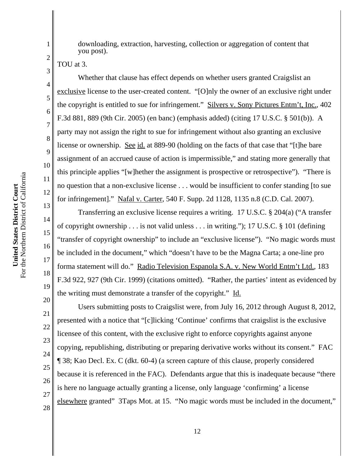For the Northern District of California For the Northern District of California United States District Court **United States District Court**

downloading, extraction, harvesting, collection or aggregation of content that you post).

TOU at 3.

1

2

3

4

5

6

7

8

9

10

11

12

13

14

15

16

17

18

19

Whether that clause has effect depends on whether users granted Craigslist an exclusive license to the user-created content. "[O]nly the owner of an exclusive right under the copyright is entitled to sue for infringement." Silvers v. Sony Pictures Entm't, Inc., 402 F.3d 881, 889 (9th Cir. 2005) (en banc) (emphasis added) (citing 17 U.S.C. § 501(b)). A party may not assign the right to sue for infringement without also granting an exclusive license or ownership. See id. at 889-90 (holding on the facts of that case that "[t]he bare assignment of an accrued cause of action is impermissible," and stating more generally that this principle applies "[w]hether the assignment is prospective or retrospective"). "There is no question that a non-exclusive license . . . would be insufficient to confer standing [to sue for infringement]." Nafal v. Carter, 540 F. Supp. 2d 1128, 1135 n.8 (C.D. Cal. 2007).

Transferring an exclusive license requires a writing. 17 U.S.C. § 204(a) ("A transfer of copyright ownership . . . is not valid unless . . . in writing."); 17 U.S.C. § 101 (defining "transfer of copyright ownership" to include an "exclusive license"). "No magic words must be included in the document," which "doesn't have to be the Magna Carta; a one-line pro forma statement will do." Radio Television Espanola S.A. v. New World Entm't Ltd., 183 F.3d 922, 927 (9th Cir. 1999) (citations omitted). "Rather, the parties' intent as evidenced by the writing must demonstrate a transfer of the copyright." Id.

20 21 22 23 24 25 26 27 28 Users submitting posts to Craigslist were, from July 16, 2012 through August 8, 2012, presented with a notice that "[c]licking 'Continue' confirms that craigslist is the exclusive licensee of this content, with the exclusive right to enforce copyrights against anyone copying, republishing, distributing or preparing derivative works without its consent." FAC ¶ 38; Kao Decl. Ex. C (dkt. 60-4) (a screen capture of this clause, properly considered because it is referenced in the FAC). Defendants argue that this is inadequate because "there is here no language actually granting a license, only language 'confirming' a license elsewhere granted" 3Taps Mot. at 15. "No magic words must be included in the document,"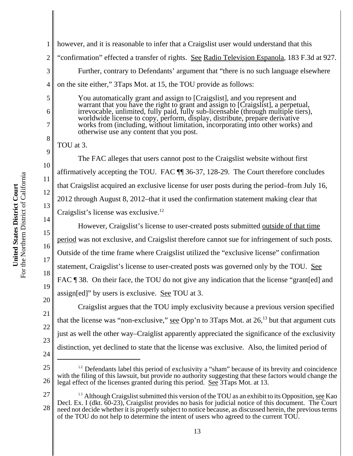1 2 3 4 5 6 7 8 9 10 11 12 13 14 15 16 17 however, and it is reasonable to infer that a Craigslist user would understand that this "confirmation" effected a transfer of rights. See Radio Television Espanola, 183 F.3d at 927. Further, contrary to Defendants' argument that "there is no such language elsewhere on the site either," 3Taps Mot. at 15, the TOU provide as follows: You automatically grant and assign to [Craigslist], and you represent and warrant that you have the right to grant and assign to [Craigslist], a perpetual, irrevocable, unlimited, fully paid, fully sub-licensable (through multiple tiers), worldwide license to copy, perform, display, distribute, prepare derivative works from (including, without limitation, incorporating into other works) and otherwise use any content that you post. TOU at 3. The FAC alleges that users cannot post to the Craigslist website without first affirmatively accepting the TOU. FAC ¶¶ 36-37, 128-29. The Court therefore concludes that Craigslist acquired an exclusive license for user posts during the period–from July 16, 2012 through August 8, 2012–that it used the confirmation statement making clear that Craigslist's license was exclusive.<sup>12</sup> However, Craigslist's license to user-created posts submitted outside of that time period was not exclusive, and Craigslist therefore cannot sue for infringement of such posts. Outside of the time frame where Craigslist utilized the "exclusive license" confirmation statement, Craigslist's license to user-created posts was governed only by the TOU. See

18 19 FAC ¶ 38. On their face, the TOU do not give any indication that the license "grant[ed] and assign[ed]" by users is exclusive. See TOU at 3.

20 21 22 23 24 Craigslist argues that the TOU imply exclusivity because a previous version specified that the license was "non-exclusive," see Opp'n to 3Taps Mot. at  $26$ <sup>13</sup> but that argument cuts just as well the other way–Craiglist apparently appreciated the significance of the exclusivity distinction, yet declined to state that the license was exclusive. Also, the limited period of

27 28 <sup>13</sup> Although Craigslist submitted this version of the TOU as an exhibit to its Opposition, see Kao Decl. Ex. I (dkt. 60-23), Craigslist provides no basis for judicial notice of this document. The Court need not decide whether it is properly subject to notice because, as discussed herein, the previous terms of the TOU do not help to determine the intent of users who agreed to the current TOU.

<sup>25</sup> 26  $12$  Defendants label this period of exclusivity a "sham" because of its brevity and coincidence with the filing of this lawsuit, but provide no authority suggesting that these factors would change the legal effect of the licenses granted during this period. See 3Taps Mot. at 13.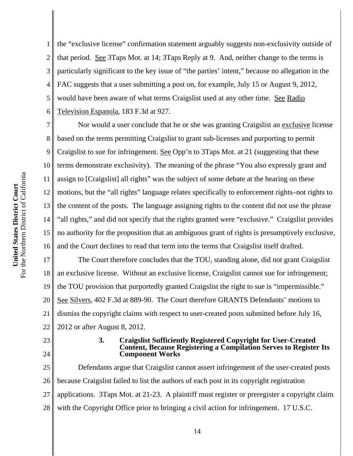1 2 3 4 5 6 the "exclusive license" confirmation statement arguably suggests non-exclusivity outside of that period. See 3Taps Mot. at 14; 3Taps Reply at 9. And, neither change to the terms is particularly significant to the key issue of "the parties' intent," because no allegation in the FAC suggests that a user submitting a post on, for example, July 15 or August 9, 2012, would have been aware of what terms Craigslist used at any other time. See Radio Television Espanola, 183 F.3d at 927.

7 8 9 10 11 12 13 14 15 16 Nor would a user conclude that he or she was granting Craigslist an exclusive license based on the terms permitting Craigslist to grant sub-licenses and purporting to permit Craigslist to sue for infringement. See Opp'n to 3Taps Mot. at 21 (suggesting that these terms demonstrate exclusivity). The meaning of the phrase "You also expressly grant and assign to [Craigslist] all rights" was the subject of some debate at the hearing on these motions, but the "all rights" language relates specifically to enforcement rights–not rights to the content of the posts. The language assigning rights to the content did not use the phrase "all rights," and did not specify that the rights granted were "exclusive." Craigslist provides no authority for the proposition that an ambiguous grant of rights is presumptively exclusive, and the Court declines to read that term into the terms that Craigslist itself drafted.

17 18 19 20 21 22 The Court therefore concludes that the TOU, standing alone, did not grant Craigslist an exclusive license. Without an exclusive license, Craigslist cannot sue for infringement; the TOU provision that purportedly granted Craigslist the right to sue is "impermissible." See Silvers, 402 F.3d at 889-90. The Court therefore GRANTS Defendants' motions to dismiss the copyright claims with respect to user-created posts submitted before July 16, 2012 or after August 8, 2012.

# 23

# 24

#### **3. Craigslist Sufficiently Registered Copyright for User-Created Content, Because Registering a Compilation Serves to Register Its Component Works**

25 26 27 28 Defendants argue that Craigslist cannot assert infringement of the user-created posts because Craigslist failed to list the authors of each post in its copyright registration applications. 3Taps Mot. at 21-23. A plaintiff must register or preregister a copyright claim with the Copyright Office prior to bringing a civil action for infringement. 17 U.S.C.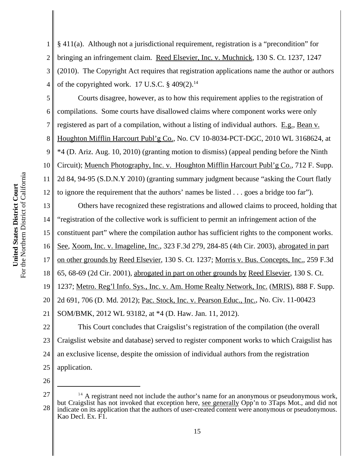1 2 3 4 5 § 411(a). Although not a jurisdictional requirement, registration is a "precondition" for bringing an infringement claim. Reed Elsevier, Inc. v. Muchnick, 130 S. Ct. 1237, 1247 (2010). The Copyright Act requires that registration applications name the author or authors of the copyrighted work. 17 U.S.C.  $\S$  409(2).<sup>14</sup> Courts disagree, however, as to how this requirement applies to the registration of

6 7 8 9 10 11 compilations. Some courts have disallowed claims where component works were only registered as part of a compilation, without a listing of individual authors. E.g., Bean v. Houghton Mifflin Harcourt Publ'g Co., No. CV 10-8034-PCT-DGC, 2010 WL 3168624, at \*4 (D. Ariz. Aug. 10, 2010) (granting motion to dismiss) (appeal pending before the Ninth Circuit); Muench Photography, Inc. v. Houghton Mifflin Harcourt Publ'g Co., 712 F. Supp. 2d 84, 94-95 (S.D.N.Y 2010) (granting summary judgment because "asking the Court flatly

to ignore the requirement that the authors' names be listed . . . goes a bridge too far").

Others have recognized these registrations and allowed claims to proceed, holding that "registration of the collective work is sufficient to permit an infringement action of the constituent part" where the compilation author has sufficient rights to the component works. See, Xoom, Inc. v. Imageline, Inc., 323 F.3d 279, 284-85 (4th Cir. 2003), abrogated in part on other grounds by Reed Elsevier, 130 S. Ct. 1237; Morris v. Bus. Concepts, Inc., 259 F.3d

18 65, 68-69 (2d Cir. 2001), abrogated in part on other grounds by Reed Elsevier, 130 S. Ct.

19 1237; Metro. Reg'l Info. Sys., Inc. v. Am. Home Realty Network, Inc. (MRIS), 888 F. Supp.

20 2d 691, 706 (D. Md. 2012); Pac. Stock, Inc. v. Pearson Educ., Inc., No. Civ. 11-00423

21 SOM/BMK, 2012 WL 93182, at \*4 (D. Haw. Jan. 11, 2012).

22 23 24 25 This Court concludes that Craigslist's registration of the compilation (the overall Craigslist website and database) served to register component works to which Craigslist has an exclusive license, despite the omission of individual authors from the registration application.

26

12

13

14

15

16

<sup>27</sup> 28 <sup>14</sup> A registrant need not include the author's name for an anonymous or pseudonymous work, but Craigslist has not invoked that exception here, see generally Opp'n to 3Taps Mot., and did not indicate on its application that the authors of user-created content were anonymous or pseudonymous. Kao Decl. Ex. F1.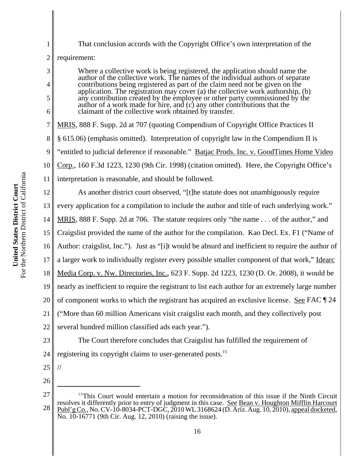For the Northern District of California For the Northern District of California United States District Court **United States District Court**

28

1

2 3 4 5 6 7 8 9 10 11 12 13 14 15 16 17 18 19 20 21 22 23 24 25 26 27 <sup>15</sup>This Court would entertain a motion for reconsideration of this issue if the Ninth Circuit resolves it differently prior to entry of judgment in this case. See Bean v. Houghton Mifflin Harcourt requirement: Where a collective work is being registered, the application should name the author of the collective work. The names of the individual authors of separate contributions being registered as part of the claim need not be given on the application. The registration may cover (a) the collective work authorship, (b) any contribution created by the employee or other party commissioned by the author of a work made for hire, and (c) any other contributions that the claimant of the collective work obtained by transfer. MRIS, 888 F. Supp. 2d at 707 (quoting Compendium of Copyright Office Practices II § 615.06) (emphasis omitted). Interpretation of copyright law in the Compendium II is "entitled to judicial deference if reasonable." Batjac Prods. Inc. v. GoodTimes Home Video Corp., 160 F.3d 1223, 1230 (9th Cir. 1998) (citation omitted). Here, the Copyright Office's interpretation is reasonable, and should be followed. As another district court observed, "[t]he statute does not unambiguously require every application for a compilation to include the author and title of each underlying work." MRIS, 888 F. Supp. 2d at 706. The statute requires only "the name . . . of the author," and Craigslist provided the name of the author for the compilation. Kao Decl. Ex. F1 ("Name of Author: craigslist, Inc."). Just as "[i]t would be absurd and inefficient to require the author of a larger work to individually register every possible smaller component of that work," Idearc Media Corp. v. Nw. Directories, Inc., 623 F. Supp. 2d 1223, 1230 (D. Or. 2008), it would be nearly as inefficient to require the registrant to list each author for an extremely large number of component works to which the registrant has acquired an exclusive license. See FAC ¶ 24 ("More than 60 million Americans visit craigslist each month, and they collectively post several hundred million classified ads each year."). The Court therefore concludes that Craigslist has fulfilled the requirement of registering its copyright claims to user-generated posts.<sup>15</sup> //

That conclusion accords with the Copyright Office's own interpretation of the

16

 $\underline{\text{Publ'}g Co.}}$ , No. CV-10-8034-PCT-DGC, 2010 WL 3168624 (D. Ariz. Aug. 10, 2010), appeal docketed, No. 10-16771 (9th Cir. Aug. 12, 2010) (raising the issue).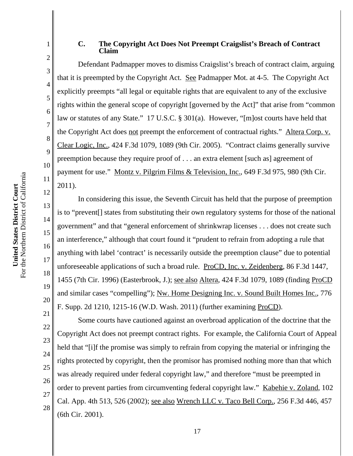#### **C. The Copyright Act Does Not Preempt Craigslist's Breach of Contract Claim**

Defendant Padmapper moves to dismiss Craigslist's breach of contract claim, arguing that it is preempted by the Copyright Act. See Padmapper Mot. at 4-5. The Copyright Act explicitly preempts "all legal or equitable rights that are equivalent to any of the exclusive rights within the general scope of copyright [governed by the Act]" that arise from "common law or statutes of any State." 17 U.S.C. § 301(a). However, "[m]ost courts have held that the Copyright Act does not preempt the enforcement of contractual rights." Altera Corp. v. Clear Logic, Inc., 424 F.3d 1079, 1089 (9th Cir. 2005). "Contract claims generally survive preemption because they require proof of . . . an extra element [such as] agreement of payment for use." Montz v. Pilgrim Films & Television, Inc., 649 F.3d 975, 980 (9th Cir. 2011).

In considering this issue, the Seventh Circuit has held that the purpose of preemption is to "prevent[] states from substituting their own regulatory systems for those of the national government" and that "general enforcement of shrinkwrap licenses . . . does not create such an interference," although that court found it "prudent to refrain from adopting a rule that anything with label 'contract' is necessarily outside the preemption clause" due to potential unforeseeable applications of such a broad rule. ProCD, Inc. v. Zeidenberg, 86 F.3d 1447, 1455 (7th Cir. 1996) (Easterbrook, J.); see also Altera, 424 F.3d 1079, 1089 (finding ProCD and similar cases "compelling"); Nw. Home Designing Inc. v. Sound Built Homes Inc., 776 F. Supp. 2d 1210, 1215-16 (W.D. Wash. 2011) (further examining ProCD).

Some courts have cautioned against an overbroad application of the doctrine that the Copyright Act does not preempt contract rights. For example, the California Court of Appeal held that "[i]f the promise was simply to refrain from copying the material or infringing the rights protected by copyright, then the promisor has promised nothing more than that which was already required under federal copyright law," and therefore "must be preempted in order to prevent parties from circumventing federal copyright law." Kabehie v. Zoland, 102 Cal. App. 4th 513, 526 (2002); see also Wrench LLC v. Taco Bell Corp., 256 F.3d 446, 457 (6th Cir. 2001).

1

2

3

4

5

6

7

8

9

10

11

12

13

14

15

16

17

18

19

20

21

22

23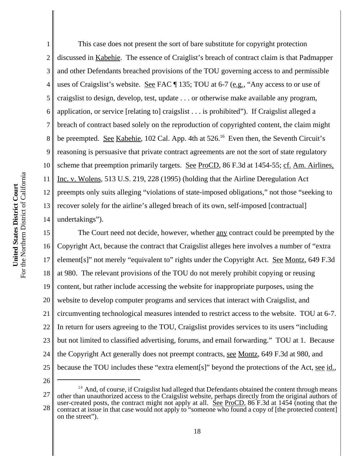1 2 3 4 5 6 7 8 9 10 11 12 13 14 This case does not present the sort of bare substitute for copyright protection discussed in Kabehie. The essence of Craiglist's breach of contract claim is that Padmapper and other Defendants breached provisions of the TOU governing access to and permissible uses of Craigslist's website. See FAC  $\P$  135; TOU at 6-7 (e.g., "Any access to or use of craigslist to design, develop, test, update . . . or otherwise make available any program, application, or service [relating to] craigslist . . . is prohibited"). If Craigslist alleged a breach of contract based solely on the reproduction of copyrighted content, the claim might be preempted. See Kabehie, 102 Cal. App. 4th at  $526$ .<sup>16</sup> Even then, the Seventh Circuit's reasoning is persuasive that private contract agreements are not the sort of state regulatory scheme that preemption primarily targets. See ProCD, 86 F.3d at 1454-55; cf. Am. Airlines, Inc. v. Wolens, 513 U.S. 219, 228 (1995) (holding that the Airline Deregulation Act preempts only suits alleging "violations of state-imposed obligations," not those "seeking to recover solely for the airline's alleged breach of its own, self-imposed [contractual] undertakings").

15 16 17 18 19 20 21 22 23 24 25 The Court need not decide, however, whether any contract could be preempted by the Copyright Act, because the contract that Craigslist alleges here involves a number of "extra element[s]" not merely "equivalent to" rights under the Copyright Act. See Montz, 649 F.3d at 980. The relevant provisions of the TOU do not merely prohibit copying or reusing content, but rather include accessing the website for inappropriate purposes, using the website to develop computer programs and services that interact with Craigslist, and circumventing technological measures intended to restrict access to the website. TOU at 6-7. In return for users agreeing to the TOU, Craigslist provides services to its users "including but not limited to classified advertising, forums, and email forwarding." TOU at 1. Because the Copyright Act generally does not preempt contracts, see Montz, 649 F.3d at 980, and because the TOU includes these "extra element[s]" beyond the protections of the Act, see id.,

<sup>27</sup> 28 <sup>16</sup> And, of course, if Craigslist had alleged that Defendants obtained the content through means other than unauthorized access to the Craigslist website, perhaps directly from the original authors of user-created posts, the contract might not apply at all.  $\frac{\text{Sec}}{\text{Enc}}$  ProCD, 86 F.3d at 1454 (noting that the contract at issue in that case would not apply to "someone who found a copy of [the protected content] on the street").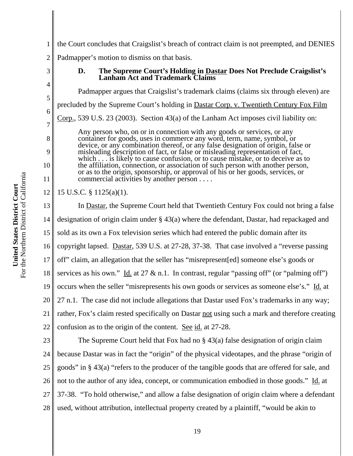3

4

5

6

7

8

9

10

11

1 2 the Court concludes that Craigslist's breach of contract claim is not preempted, and DENIES Padmapper's motion to dismiss on that basis.

> **D. The Supreme Court's Holding in Dastar Does Not Preclude Craigslist's Lanham Act and Trademark Claims**

Padmapper argues that Craigslist's trademark claims (claims six through eleven) are precluded by the Supreme Court's holding in Dastar Corp. v. Twentieth Century Fox Film Corp., 539 U.S. 23 (2003). Section 43(a) of the Lanham Act imposes civil liability on: Any person who, on or in connection with any goods or services, or any container for goods, uses in commerce any word, term, name, symbol, or device, or any combination thereof, or any false designation of origin, false or misleading description of fact, or false or misleading representation of fact, which . . . is likely to cause confusion, or to cause mistake, or to deceive as to

the affiliation, connection, or association of such person with another person, or as to the origin, sponsorship, or approval of his or her goods, services, or commercial activities by another person . . . .

12 15 U.S.C. § 1125(a)(1).

13 14 15 16 17 18 19 20 21 22 In Dastar, the Supreme Court held that Twentieth Century Fox could not bring a false designation of origin claim under § 43(a) where the defendant, Dastar, had repackaged and sold as its own a Fox television series which had entered the public domain after its copyright lapsed. Dastar, 539 U.S. at 27-28, 37-38. That case involved a "reverse passing off" claim, an allegation that the seller has "misrepresent[ed] someone else's goods or services as his own." Id. at 27  $\&$  n.1. In contrast, regular "passing off" (or "palming off") occurs when the seller "misrepresents his own goods or services as someone else's." Id. at 27 n.1. The case did not include allegations that Dastar used Fox's trademarks in any way; rather, Fox's claim rested specifically on Dastar not using such a mark and therefore creating confusion as to the origin of the content. See id. at 27-28.

23 24 25 26 27 28 The Supreme Court held that Fox had no § 43(a) false designation of origin claim because Dastar was in fact the "origin" of the physical videotapes, and the phrase "origin of goods" in § 43(a) "refers to the producer of the tangible goods that are offered for sale, and not to the author of any idea, concept, or communication embodied in those goods." Id. at 37-38. "To hold otherwise," and allow a false designation of origin claim where a defendant used, without attribution, intellectual property created by a plaintiff, "would be akin to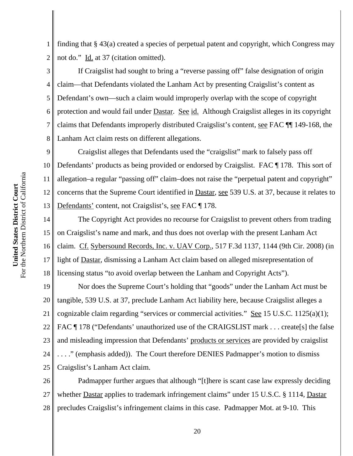1 2 finding that § 43(a) created a species of perpetual patent and copyright, which Congress may not do." Id. at 37 (citation omitted).

3 4 5 6 7 8 If Craigslist had sought to bring a "reverse passing off" false designation of origin claim—that Defendants violated the Lanham Act by presenting Craigslist's content as Defendant's own—such a claim would improperly overlap with the scope of copyright protection and would fail under Dastar. See id. Although Craigslist alleges in its copyright claims that Defendants improperly distributed Craigslist's content, see FAC ¶¶ 149-168, the Lanham Act claim rests on different allegations.

9 10 11 12 13 Craigslist alleges that Defendants used the "craigslist" mark to falsely pass off Defendants' products as being provided or endorsed by Craigslist. FAC ¶ 178. This sort of allegation–a regular "passing off" claim–does not raise the "perpetual patent and copyright" concerns that the Supreme Court identified in Dastar, see 539 U.S. at 37, because it relates to Defendants' content, not Craigslist's, see FAC ¶ 178.

14 15 16 17 18 The Copyright Act provides no recourse for Craigslist to prevent others from trading on Craigslist's name and mark, and thus does not overlap with the present Lanham Act claim. Cf. Sybersound Records, Inc. v. UAV Corp., 517 F.3d 1137, 1144 (9th Cir. 2008) (in light of Dastar, dismissing a Lanham Act claim based on alleged misrepresentation of licensing status "to avoid overlap between the Lanham and Copyright Acts").

19 20 21 22 23 24 25 Nor does the Supreme Court's holding that "goods" under the Lanham Act must be tangible, 539 U.S. at 37, preclude Lanham Act liability here, because Craigslist alleges a cognizable claim regarding "services or commercial activities." See 15 U.S.C. 1125(a)(1); FAC ¶ 178 ("Defendants' unauthorized use of the CRAIGSLIST mark . . . create[s] the false and misleading impression that Defendants' products or services are provided by craigslist . . . ." (emphasis added)). The Court therefore DENIES Padmapper's motion to dismiss Craigslist's Lanham Act claim.

26 27 28 Padmapper further argues that although "[t]here is scant case law expressly deciding whether **Dastar** applies to trademark infringement claims" under 15 U.S.C. § 1114, Dastar precludes Craigslist's infringement claims in this case. Padmapper Mot. at 9-10. This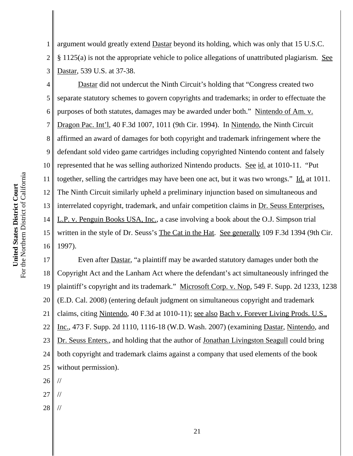1 2 3 argument would greatly extend Dastar beyond its holding, which was only that 15 U.S.C. § 1125(a) is not the appropriate vehicle to police allegations of unattributed plagiarism. See Dastar, 539 U.S. at 37-38.

4 5 6 7 8 9 10 11 12 13 14 15 16 Dastar did not undercut the Ninth Circuit's holding that "Congress created two separate statutory schemes to govern copyrights and trademarks; in order to effectuate the purposes of both statutes, damages may be awarded under both." Nintendo of Am. v. Dragon Pac. Int'l, 40 F.3d 1007, 1011 (9th Cir. 1994). In Nintendo, the Ninth Circuit affirmed an award of damages for both copyright and trademark infringement where the defendant sold video game cartridges including copyrighted Nintendo content and falsely represented that he was selling authorized Nintendo products. See id. at 1010-11. "Put together, selling the cartridges may have been one act, but it was two wrongs." Id. at 1011. The Ninth Circuit similarly upheld a preliminary injunction based on simultaneous and interrelated copyright, trademark, and unfair competition claims in Dr. Seuss Enterprises, L.P. v. Penguin Books USA, Inc., a case involving a book about the O.J. Simpson trial written in the style of Dr. Seuss's The Cat in the Hat. See generally 109 F.3d 1394 (9th Cir. 1997).

17 18 19 20 21 22 23 24 25 Even after Dastar, "a plaintiff may be awarded statutory damages under both the Copyright Act and the Lanham Act where the defendant's act simultaneously infringed the plaintiff's copyright and its trademark." Microsoft Corp. v. Nop, 549 F. Supp. 2d 1233, 1238 (E.D. Cal. 2008) (entering default judgment on simultaneous copyright and trademark claims, citing Nintendo, 40 F.3d at 1010-11); see also Bach v. Forever Living Prods. U.S., Inc., 473 F. Supp. 2d 1110, 1116-18 (W.D. Wash. 2007) (examining Dastar, Nintendo, and Dr. Seuss Enters., and holding that the author of Jonathan Livingston Seagull could bring both copyright and trademark claims against a company that used elements of the book without permission).

26 //

- 27 //
- 28 //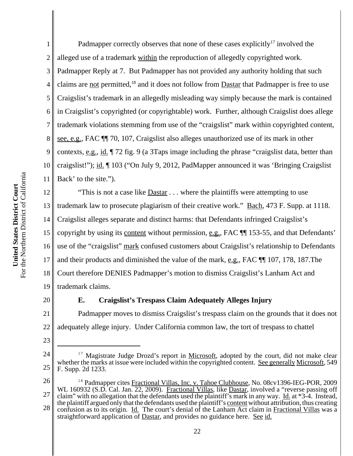1 2 3 4 5 Padmapper correctly observes that none of these cases explicitly<sup>17</sup> involved the alleged use of a trademark within the reproduction of allegedly copyrighted work. Padmapper Reply at 7. But Padmapper has not provided any authority holding that such claims are not permitted,<sup>18</sup> and it does not follow from Dastar that Padmapper is free to use Craigslist's trademark in an allegedly misleading way simply because the mark is contained in Craigslist's copyrighted (or copyrightable) work. Further, although Craigslist does allege trademark violations stemming from use of the "craigslist" mark within copyrighted content, see, e.g., FAC ¶¶ 70, 107, Craigslist also alleges unauthorized use of its mark in other contexts, e.g., id. ¶ 72 fig. 9 (a 3Taps image including the phrase "craigslist data, better than craigslist!"); id. ¶ 103 ("On July 9, 2012, PadMapper announced it was 'Bringing Craigslist Back' to the site.").

18 19 "This is not a case like Dastar . . . where the plaintiffs were attempting to use trademark law to prosecute plagiarism of their creative work." Bach, 473 F. Supp. at 1118. Craigslist alleges separate and distinct harms: that Defendants infringed Craigslist's copyright by using its content without permission, e.g., FAC ¶¶ 153-55, and that Defendants' use of the "craigslist" mark confused customers about Craigslist's relationship to Defendants and their products and diminished the value of the mark, e.g., FAC ¶¶ 107, 178, 187.The Court therefore DENIES Padmapper's motion to dismiss Craigslist's Lanham Act and trademark claims.

20

23

## **E. Craigslist's Trespass Claim Adequately Alleges Injury**

21 22 Padmapper moves to dismiss Craigslist's trespass claim on the grounds that it does not adequately allege injury. Under California common law, the tort of trespass to chattel

<sup>24</sup> 25 <sup>17</sup> Magistrate Judge Drozd's report in <u>Microsoft</u>, adopted by the court, did not make clear whether the marks at issue were included within the copyrighted content. See generally Microsoft, 549 F. Supp. 2d 1233.

<sup>26</sup> 27 28 <sup>18</sup> Padmapper cites Fractional Villas, Inc. v. Tahoe Clubhouse, No. 08cv1396-IEG-POR, 2009 WL 160932 (S.D. Cal. Jan. 22, 2009). Fractional Villas, like Dastar, involved a "reverse passing off claim" with no allegation that the defendants used the plaintiff's mark in any way. Id. at  $*3-4$ . Instead, the plaintiff argued only that the defendants used the plaintiff's content without attribution, thus creating confusion as to its origin. Id. The court's denial of the Lanham Act claim in Fractional Villas was a straightforward application of Dastar, and provides no guidance here. See id.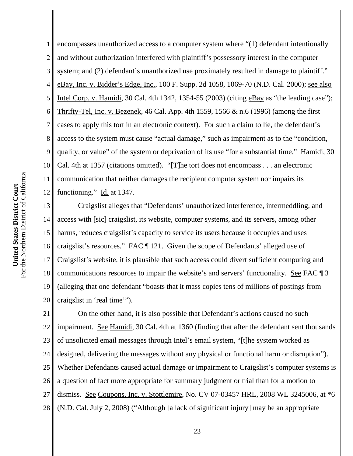1 2 3 4 5 6 7 8 9 10 11 12 encompasses unauthorized access to a computer system where "(1) defendant intentionally and without authorization interfered with plaintiff's possessory interest in the computer system; and (2) defendant's unauthorized use proximately resulted in damage to plaintiff." eBay, Inc. v. Bidder's Edge, Inc., 100 F. Supp. 2d 1058, 1069-70 (N.D. Cal. 2000); see also Intel Corp. v. Hamidi, 30 Cal. 4th 1342, 1354-55 (2003) (citing eBay as "the leading case"); Thrifty-Tel, Inc. v. Bezenek, 46 Cal. App. 4th 1559, 1566 & n.6 (1996) (among the first cases to apply this tort in an electronic context). For such a claim to lie, the defendant's access to the system must cause "actual damage," such as impairment as to the "condition, quality, or value" of the system or deprivation of its use "for a substantial time." Hamidi, 30 Cal. 4th at 1357 (citations omitted). "[T]he tort does not encompass . . . an electronic communication that neither damages the recipient computer system nor impairs its functioning."  $\underline{Id}$  at 1347.

13 14 15 16 17 18 19 20 Craigslist alleges that "Defendants' unauthorized interference, intermeddling, and access with [sic] craigslist, its website, computer systems, and its servers, among other harms, reduces craigslist's capacity to service its users because it occupies and uses craigslist's resources." FAC ¶ 121. Given the scope of Defendants' alleged use of Craigslist's website, it is plausible that such access could divert sufficient computing and communications resources to impair the website's and servers' functionality. See FAC ¶ 3 (alleging that one defendant "boasts that it mass copies tens of millions of postings from craigslist in 'real time'").

21 22 23 24 25 26 27 28 On the other hand, it is also possible that Defendant's actions caused no such impairment. See Hamidi, 30 Cal. 4th at 1360 (finding that after the defendant sent thousands of unsolicited email messages through Intel's email system, "[t]he system worked as designed, delivering the messages without any physical or functional harm or disruption"). Whether Defendants caused actual damage or impairment to Craigslist's computer systems is a question of fact more appropriate for summary judgment or trial than for a motion to dismiss. See Coupons, Inc. v. Stottlemire, No. CV 07-03457 HRL, 2008 WL 3245006, at \*6 (N.D. Cal. July 2, 2008) ("Although [a lack of significant injury] may be an appropriate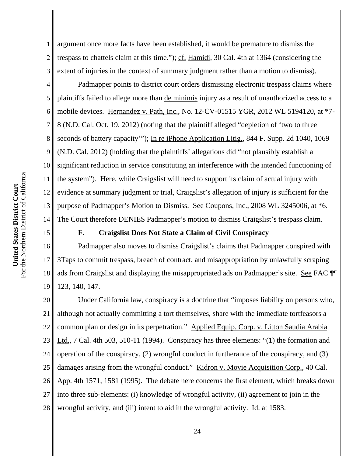15

1 2 3 argument once more facts have been established, it would be premature to dismiss the trespass to chattels claim at this time."); cf. Hamidi, 30 Cal. 4th at 1364 (considering the extent of injuries in the context of summary judgment rather than a motion to dismiss).

4 5 6 7 8 9 10 11 12 13 14 Padmapper points to district court orders dismissing electronic trespass claims where plaintiffs failed to allege more than de minimis injury as a result of unauthorized access to a mobile devices. Hernandez v. Path, Inc., No. 12-CV-01515 YGR, 2012 WL 5194120, at \*7- 8 (N.D. Cal. Oct. 19, 2012) (noting that the plaintiff alleged "depletion of 'two to three seconds of battery capacity"'); In re iPhone Application Litig., 844 F. Supp. 2d 1040, 1069 (N.D. Cal. 2012) (holding that the plaintiffs' allegations did "not plausibly establish a significant reduction in service constituting an interference with the intended functioning of the system"). Here, while Craigslist will need to support its claim of actual injury with evidence at summary judgment or trial, Craigslist's allegation of injury is sufficient for the purpose of Padmapper's Motion to Dismiss. See Coupons, Inc., 2008 WL 3245006, at \*6. The Court therefore DENIES Padmapper's motion to dismiss Craigslist's trespass claim.

### **F. Craigslist Does Not State a Claim of Civil Conspiracy**

16 17 18 19 Padmapper also moves to dismiss Craigslist's claims that Padmapper conspired with 3Taps to commit trespass, breach of contract, and misappropriation by unlawfully scraping ads from Craigslist and displaying the misappropriated ads on Padmapper's site. See FAC ¶¶ 123, 140, 147.

20 21 22 23 24 25 26 27 28 Under California law, conspiracy is a doctrine that "imposes liability on persons who, although not actually committing a tort themselves, share with the immediate tortfeasors a common plan or design in its perpetration." Applied Equip. Corp. v. Litton Saudia Arabia Ltd., 7 Cal. 4th 503, 510-11 (1994). Conspiracy has three elements: "(1) the formation and operation of the conspiracy, (2) wrongful conduct in furtherance of the conspiracy, and (3) damages arising from the wrongful conduct." Kidron v. Movie Acquisition Corp., 40 Cal. App. 4th 1571, 1581 (1995). The debate here concerns the first element, which breaks down into three sub-elements: (i) knowledge of wrongful activity, (ii) agreement to join in the wrongful activity, and (iii) intent to aid in the wrongful activity. Id. at 1583.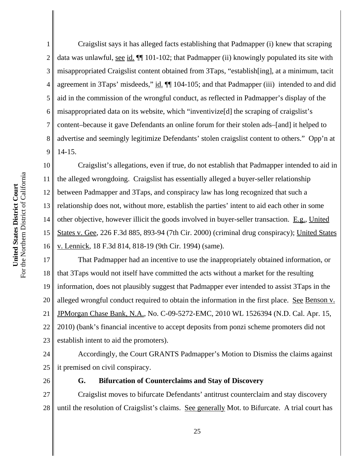1 2 3 4 5 6 7 8 9 Craigslist says it has alleged facts establishing that Padmapper (i) knew that scraping data was unlawful, <u>see id.</u>  $\P$  101-102; that Padmapper (ii) knowingly populated its site with misappropriated Craigslist content obtained from 3Taps, "establish[ing], at a minimum, tacit agreement in 3Taps' misdeeds," id.  $\P$  104-105; and that Padmapper (iii) intended to and did aid in the commission of the wrongful conduct, as reflected in Padmapper's display of the misappropriated data on its website, which "inventivize[d] the scraping of craigslist's content–because it gave Defendants an online forum for their stolen ads–[and] it helped to advertise and seemingly legitimize Defendants' stolen craigslist content to others." Opp'n at 14-15.

10 11 12 13 14 15 16 Craigslist's allegations, even if true, do not establish that Padmapper intended to aid in the alleged wrongdoing. Craigslist has essentially alleged a buyer-seller relationship between Padmapper and 3Taps, and conspiracy law has long recognized that such a relationship does not, without more, establish the parties' intent to aid each other in some other objective, however illicit the goods involved in buyer-seller transaction. E.g., United States v. Gee, 226 F.3d 885, 893-94 (7th Cir. 2000) (criminal drug conspiracy); United States v. Lennick, 18 F.3d 814, 818-19 (9th Cir. 1994) (same).

17 18 19 20 21 22 23 That Padmapper had an incentive to use the inappropriately obtained information, or that 3Taps would not itself have committed the acts without a market for the resulting information, does not plausibly suggest that Padmapper ever intended to assist 3Taps in the alleged wrongful conduct required to obtain the information in the first place. See Benson v. JPMorgan Chase Bank, N.A., No. C-09-5272-EMC, 2010 WL 1526394 (N.D. Cal. Apr. 15, 2010) (bank's financial incentive to accept deposits from ponzi scheme promoters did not establish intent to aid the promoters).

24 25 Accordingly, the Court GRANTS Padmapper's Motion to Dismiss the claims against it premised on civil conspiracy.

26

## **G. Bifurcation of Counterclaims and Stay of Discovery**

27 28 Craigslist moves to bifurcate Defendants' antitrust counterclaim and stay discovery until the resolution of Craigslist's claims. See generally Mot. to Bifurcate. A trial court has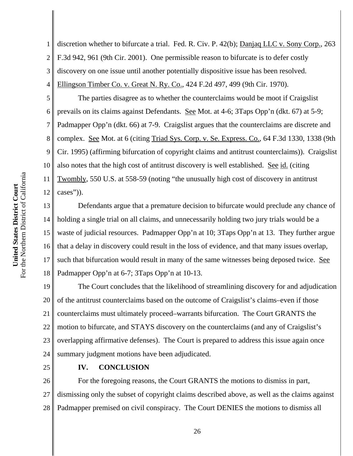1 2 3 4 discretion whether to bifurcate a trial. Fed. R. Civ. P. 42(b); Danjaq LLC v. Sony Corp., 263 F.3d 942, 961 (9th Cir. 2001). One permissible reason to bifurcate is to defer costly discovery on one issue until another potentially dispositive issue has been resolved. Ellingson Timber Co. v. Great N. Ry. Co., 424 F.2d 497, 499 (9th Cir. 1970).

5 6 7 8 9 10 11 12 The parties disagree as to whether the counterclaims would be moot if Craigslist prevails on its claims against Defendants. See Mot. at 4-6; 3Taps Opp'n (dkt. 67) at 5-9; Padmapper Opp'n (dkt. 66) at 7-9. Craigslist argues that the counterclaims are discrete and complex. See Mot. at 6 (citing Triad Sys. Corp. v. Se. Express. Co., 64 F.3d 1330, 1338 (9th Cir. 1995) (affirming bifurcation of copyright claims and antitrust counterclaims)). Craigslist also notes that the high cost of antitrust discovery is well established. See id. (citing Twombly, 550 U.S. at 558-59 (noting "the unusually high cost of discovery in antitrust cases")).

13 14 15 16 17 18 Defendants argue that a premature decision to bifurcate would preclude any chance of holding a single trial on all claims, and unnecessarily holding two jury trials would be a waste of judicial resources. Padmapper Opp'n at 10; 3Taps Opp'n at 13. They further argue that a delay in discovery could result in the loss of evidence, and that many issues overlap, such that bifurcation would result in many of the same witnesses being deposed twice. See Padmapper Opp'n at 6-7; 3Taps Opp'n at 10-13.

19 20 21 22 23 24 The Court concludes that the likelihood of streamlining discovery for and adjudication of the antitrust counterclaims based on the outcome of Craigslist's claims–even if those counterclaims must ultimately proceed–warrants bifurcation. The Court GRANTS the motion to bifurcate, and STAYS discovery on the counterclaims (and any of Craigslist's overlapping affirmative defenses). The Court is prepared to address this issue again once summary judgment motions have been adjudicated.

25

# **IV. CONCLUSION**

26 27 28 For the foregoing reasons, the Court GRANTS the motions to dismiss in part, dismissing only the subset of copyright claims described above, as well as the claims against Padmapper premised on civil conspiracy. The Court DENIES the motions to dismiss all